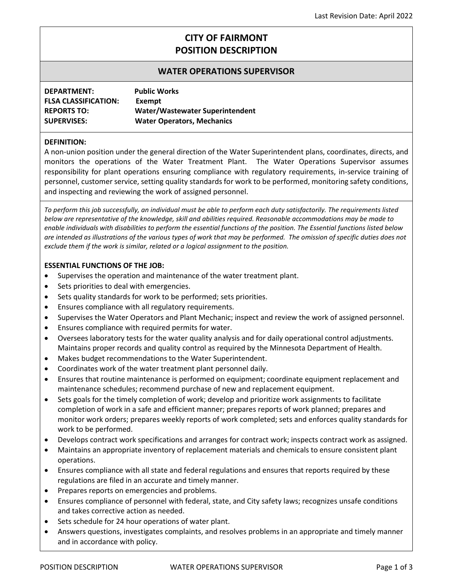# **CITY OF FAIRMONT POSITION DESCRIPTION**

# **WATER OPERATIONS SUPERVISOR**

| DEPARTMENT:                 | <b>Public Works</b>               |
|-----------------------------|-----------------------------------|
| <b>FLSA CLASSIFICATION:</b> | Exempt                            |
| <b>REPORTS TO:</b>          | Water/Wastewater Superintendent   |
| <b>SUPERVISES:</b>          | <b>Water Operators, Mechanics</b> |

#### **DEFINITION:**

A non-union position under the general direction of the Water Superintendent plans, coordinates, directs, and monitors the operations of the Water Treatment Plant. The Water Operations Supervisor assumes responsibility for plant operations ensuring compliance with regulatory requirements, in-service training of personnel, customer service, setting quality standards for work to be performed, monitoring safety conditions, and inspecting and reviewing the work of assigned personnel.

*To perform this job successfully, an individual must be able to perform each duty satisfactorily. The requirements listed below are representative of the knowledge, skill and abilities required. Reasonable accommodations may be made to enable individuals with disabilities to perform the essential functions of the position. The Essential functions listed below are intended as illustrations of the various types of work that may be performed. The omission of specific duties does not exclude them if the work is similar, related or a logical assignment to the position.*

#### **ESSENTIAL FUNCTIONS OF THE JOB:**

- Supervises the operation and maintenance of the water treatment plant.
- Sets priorities to deal with emergencies.
- Sets quality standards for work to be performed; sets priorities.
- Ensures compliance with all regulatory requirements.
- Supervises the Water Operators and Plant Mechanic; inspect and review the work of assigned personnel.
- Ensures compliance with required permits for water.
- Oversees laboratory tests for the water quality analysis and for daily operational control adjustments. Maintains proper records and quality control as required by the Minnesota Department of Health.
- Makes budget recommendations to the Water Superintendent.
- Coordinates work of the water treatment plant personnel daily.
- Ensures that routine maintenance is performed on equipment; coordinate equipment replacement and maintenance schedules; recommend purchase of new and replacement equipment.
- Sets goals for the timely completion of work; develop and prioritize work assignments to facilitate completion of work in a safe and efficient manner; prepares reports of work planned; prepares and monitor work orders; prepares weekly reports of work completed; sets and enforces quality standards for work to be performed.
- Develops contract work specifications and arranges for contract work; inspects contract work as assigned.
- Maintains an appropriate inventory of replacement materials and chemicals to ensure consistent plant operations.
- Ensures compliance with all state and federal regulations and ensures that reports required by these regulations are filed in an accurate and timely manner.
- Prepares reports on emergencies and problems.
- Ensures compliance of personnel with federal, state, and City safety laws; recognizes unsafe conditions and takes corrective action as needed.
- Sets schedule for 24 hour operations of water plant.
- Answers questions, investigates complaints, and resolves problems in an appropriate and timely manner and in accordance with policy.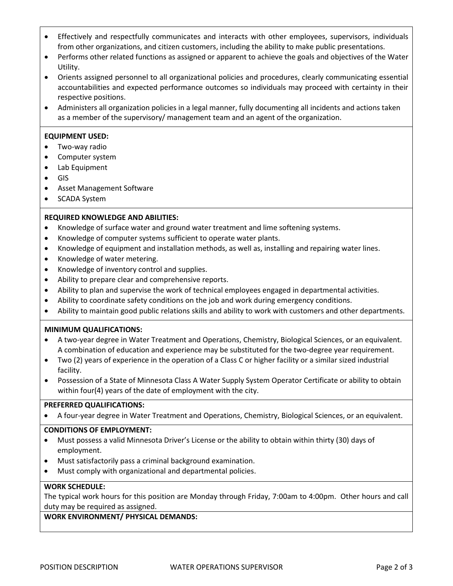- Effectively and respectfully communicates and interacts with other employees, supervisors, individuals from other organizations, and citizen customers, including the ability to make public presentations.
- Performs other related functions as assigned or apparent to achieve the goals and objectives of the Water Utility.
- Orients assigned personnel to all organizational policies and procedures, clearly communicating essential accountabilities and expected performance outcomes so individuals may proceed with certainty in their respective positions.
- Administers all organization policies in a legal manner, fully documenting all incidents and actions taken as a member of the supervisory/ management team and an agent of the organization.

### **EQUIPMENT USED:**

- Two-way radio
- Computer system
- Lab Equipment
- GIS
- Asset Management Software
- SCADA System

## **REQUIRED KNOWLEDGE AND ABILITIES:**

- Knowledge of surface water and ground water treatment and lime softening systems.
- Knowledge of computer systems sufficient to operate water plants.
- Knowledge of equipment and installation methods, as well as, installing and repairing water lines.
- Knowledge of water metering.
- Knowledge of inventory control and supplies.
- Ability to prepare clear and comprehensive reports.
- Ability to plan and supervise the work of technical employees engaged in departmental activities.
- Ability to coordinate safety conditions on the job and work during emergency conditions.
- Ability to maintain good public relations skills and ability to work with customers and other departments.

### **MINIMUM QUALIFICATIONS:**

- A two-year degree in Water Treatment and Operations, Chemistry, Biological Sciences, or an equivalent. A combination of education and experience may be substituted for the two-degree year requirement.
- Two (2) years of experience in the operation of a Class C or higher facility or a similar sized industrial facility.
- Possession of a State of Minnesota Class A Water Supply System Operator Certificate or ability to obtain within four(4) years of the date of employment with the city.

### **PREFERRED QUALIFICATIONS:**

• A four-year degree in Water Treatment and Operations, Chemistry, Biological Sciences, or an equivalent.

#### **CONDITIONS OF EMPLOYMENT:**

- Must possess a valid Minnesota Driver's License or the ability to obtain within thirty (30) days of employment.
- Must satisfactorily pass a criminal background examination.
- Must comply with organizational and departmental policies.

### **WORK SCHEDULE:**

The typical work hours for this position are Monday through Friday, 7:00am to 4:00pm. Other hours and call duty may be required as assigned.

### **WORK ENVIRONMENT/ PHYSICAL DEMANDS:**